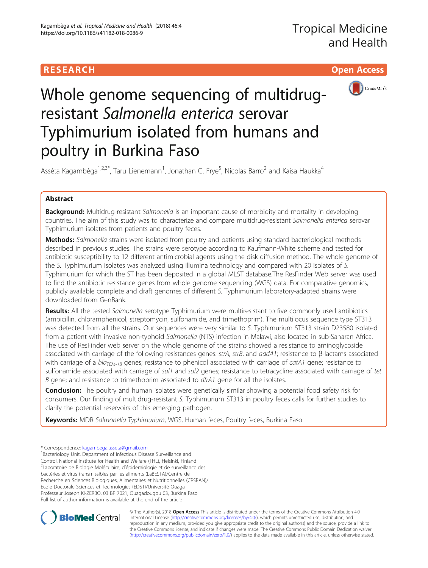# **RESEARCH CHILD CONTROL** CONTROL CONTROL CONTROL CONTROL CONTROL CONTROL CONTROL CONTROL CONTROL CONTROL CONTROL



Whole genome sequencing of multidrugresistant Salmonella enterica serovar Typhimurium isolated from humans and poultry in Burkina Faso

Assèta Kagambèga<sup>1,2,3\*</sup>, Taru Lienemann<sup>1</sup>, Jonathan G. Frye<sup>5</sup>, Nicolas Barro<sup>2</sup> and Kaisa Haukka<sup>4</sup>

## Abstract

Background: Multidrug-resistant Salmonella is an important cause of morbidity and mortality in developing countries. The aim of this study was to characterize and compare multidrug-resistant Salmonella enterica serovar Typhimurium isolates from patients and poultry feces.

Methods: Salmonella strains were isolated from poultry and patients using standard bacteriological methods described in previous studies. The strains were serotype according to Kaufmann-White scheme and tested for antibiotic susceptibility to 12 different antimicrobial agents using the disk diffusion method. The whole genome of the S. Typhimurium isolates was analyzed using Illumina technology and compared with 20 isolates of S. Typhimurium for which the ST has been deposited in a global MLST database.The ResFinder Web server was used to find the antibiotic resistance genes from whole genome sequencing (WGS) data. For comparative genomics, publicly available complete and draft genomes of different S. Typhimurium laboratory-adapted strains were downloaded from GenBank.

Results: All the tested Salmonella serotype Typhimurium were multiresistant to five commonly used antibiotics (ampicillin, chloramphenicol, streptomycin, sulfonamide, and trimethoprim). The multilocus sequence type ST313 was detected from all the strains. Our sequences were very similar to S. Typhimurium ST313 strain D23580 isolated from a patient with invasive non-typhoid Salmonella (NTS) infection in Malawi, also located in sub-Saharan Africa. The use of ResFinder web server on the whole genome of the strains showed a resistance to aminoglycoside associated with carriage of the following resistances genes: strA, strB, and aadA1; resistance to β-lactams associated with carriage of a  $bla_{TEM-1B}$  genes; resistance to phenicol associated with carriage of catA1 gene; resistance to sulfonamide associated with carriage of sul1 and sul2 genes; resistance to tetracycline associated with carriage of tet B gene; and resistance to trimethoprim associated to dfrA1 gene for all the isolates.

**Conclusion:** The poultry and human isolates were genetically similar showing a potential food safety risk for consumers. Our finding of multidrug-resistant S. Typhimurium ST313 in poultry feces calls for further studies to clarify the potential reservoirs of this emerging pathogen.

Keywords: MDR Salmonella Typhimurium, WGS, Human feces, Poultry feces, Burkina Faso

\* Correspondence: [kagambega.asseta@gmail.com](mailto:kagambega.asseta@gmail.com) <sup>1</sup>

<sup>1</sup>Bacteriology Unit, Department of Infectious Disease Surveillance and Control, National Institute for Health and Welfare (THL), Helsinki, Finland <sup>2</sup>Laboratoire de Biologie Moléculaire, d'épidémiologie et de surveillance des bactéries et virus transmissibles par les aliments (LaBESTA)/Centre de Recherche en Sciences Biologiques, Alimentaires et Nutritionnelles (CRSBAN)/ Ecole Doctorale Sciences et Technologies (EDST)/Université Ouaga I Professeur Joseph KI-ZERBO, 03 BP 7021, Ouagadougou 03, Burkina Faso Full list of author information is available at the end of the article



© The Author(s). 2018 Open Access This article is distributed under the terms of the Creative Commons Attribution 4.0 International License [\(http://creativecommons.org/licenses/by/4.0/](http://creativecommons.org/licenses/by/4.0/)), which permits unrestricted use, distribution, and reproduction in any medium, provided you give appropriate credit to the original author(s) and the source, provide a link to the Creative Commons license, and indicate if changes were made. The Creative Commons Public Domain Dedication waiver [\(http://creativecommons.org/publicdomain/zero/1.0/](http://creativecommons.org/publicdomain/zero/1.0/)) applies to the data made available in this article, unless otherwise stated.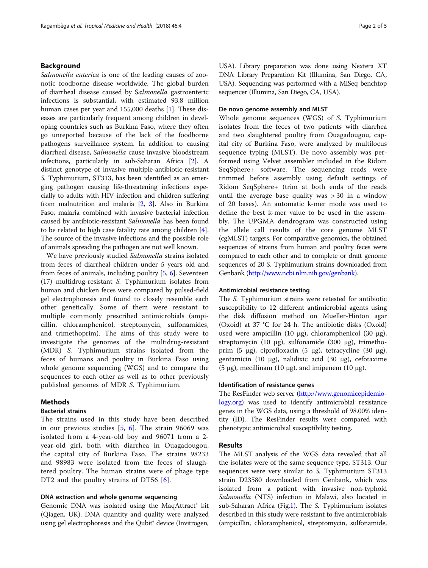## Background

Salmonella enterica is one of the leading causes of zoonotic foodborne disease worldwide. The global burden of diarrheal disease caused by Salmonella gastroenteric infections is substantial, with estimated 93.8 million human cases per year and 155,000 deaths [\[1](#page-4-0)]. These diseases are particularly frequent among children in developing countries such as Burkina Faso, where they often go unreported because of the lack of the foodborne pathogens surveillance system. In addition to causing diarrheal disease, Salmonella cause invasive bloodstream infections, particularly in sub-Saharan Africa [[2\]](#page-4-0). A distinct genotype of invasive multiple-antibiotic-resistant S. Typhimurium, ST313, has been identified as an emerging pathogen causing life-threatening infections especially to adults with HIV infection and children suffering from malnutrition and malaria [\[2,](#page-4-0) [3](#page-4-0)]. Also in Burkina Faso, malaria combined with invasive bacterial infection caused by antibiotic-resistant Salmonella has been found to be related to high case fatality rate among children [[4](#page-4-0)]. The source of the invasive infections and the possible role of animals spreading the pathogen are not well known.

We have previously studied Salmonella strains isolated from feces of diarrheal children under 5 years old and from feces of animals, including poultry [\[5](#page-4-0), [6](#page-4-0)]. Seventeen (17) multidrug-resistant S. Typhimurium isolates from human and chicken feces were compared by pulsed-field gel electrophoresis and found to closely resemble each other genetically. Some of them were resistant to multiple commonly prescribed antimicrobials (ampicillin, chloramphenicol, streptomycin, sulfonamides, and trimethoprim). The aims of this study were to investigate the genomes of the multidrug-resistant (MDR) S. Typhimurium strains isolated from the feces of humans and poultry in Burkina Faso using whole genome sequencing (WGS) and to compare the sequences to each other as well as to other previously published genomes of MDR S. Typhimurium.

## Methods

## Bacterial strains

The strains used in this study have been described in our previous studies [\[5](#page-4-0), [6](#page-4-0)]. The strain 96069 was isolated from a 4-year-old boy and 96071 from a 2 year-old girl, both with diarrhea in Ouagadougou, the capital city of Burkina Faso. The strains 98233 and 98983 were isolated from the feces of slaughtered poultry. The human strains were of phage type DT2 and the poultry strains of DT56 [\[6](#page-4-0)].

## DNA extraction and whole genome sequencing

Genomic DNA was isolated using the MaqAttract® kit (Qiagen, UK). DNA quantity and quality were analyzed using gel electrophoresis and the Qubit® device (Invitrogen, USA). Library preparation was done using Nextera XT DNA Library Preparation Kit (Illumina, San Diego, CA, USA). Sequencing was performed with a MiSeq benchtop sequencer (Illumina, San Diego, CA, USA).

## De novo genome assembly and MLST

Whole genome sequences (WGS) of S. Typhimurium isolates from the feces of two patients with diarrhea and two slaughtered poultry from Ouagadougou, capital city of Burkina Faso, were analyzed by multilocus sequence typing (MLST). De novo assembly was performed using Velvet assembler included in the Ridom SeqSphere+ software. The sequencing reads were trimmed before assembly using default settings of Ridom SeqSphere+ (trim at both ends of the reads until the average base quality was > 30 in a window of 20 bases). An automatic k-mer mode was used to define the best k-mer value to be used in the assembly. The UPGMA dendrogram was constructed using the allele call results of the core genome MLST (cgMLST) targets. For comparative genomics, the obtained sequences of strains from human and poultry feces were compared to each other and to complete or draft genome sequences of 20 S. Typhimurium strains downloaded from Genbank [\(http://www.ncbi.nlm.nih.gov/genbank\)](http://www.ncbi.nlm.nih.gov/genbank).

## Antimicrobial resistance testing

The S. Typhimurium strains were retested for antibiotic susceptibility to 12 different antimicrobial agents using the disk diffusion method on Mueller-Hinton agar (Oxoid) at 37 °C for 24 h. The antibiotic disks (Oxoid) used were ampicillin (10 μg), chloramphenicol (30 μg), streptomycin (10 μg), sulfonamide (300 μg), trimethoprim (5 μg), ciprofloxacin (5 μg), tetracycline (30 μg), gentamicin (10 μg), nalidixic acid (30 μg), cefotaxime (5 μg), mecillinam (10 μg), and imipenem (10 μg).

### Identification of resistance genes

The ResFinder web server [\(http://www.genomicepidemio](http://www.genomicepidemiology.org)[logy.org](http://www.genomicepidemiology.org)) was used to identify antimicrobial resistance genes in the WGS data, using a threshold of 98.00% identity (ID). The ResFinder results were compared with phenotypic antimicrobial susceptibility testing.

## Results

The MLST analysis of the WGS data revealed that all the isolates were of the same sequence type, ST313. Our sequences were very similar to S. Typhimurium ST313 strain D23580 downloaded from Genbank, which was isolated from a patient with invasive non-typhoid Salmonella (NTS) infection in Malawi, also located in sub-Saharan Africa (Fig.[1\)](#page-2-0). The S. Typhimurium isolates described in this study were resistant to five antimicrobials (ampicillin, chloramphenicol, streptomycin, sulfonamide,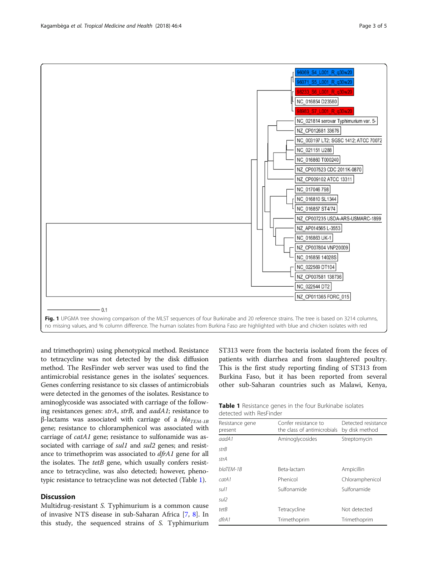<span id="page-2-0"></span>

and trimethoprim) using phenotypical method. Resistance to tetracycline was not detected by the disk diffusion method. The ResFinder web server was used to find the antimicrobial resistance genes in the isolates' sequences. Genes conferring resistance to six classes of antimicrobials were detected in the genomes of the isolates. Resistance to aminoglycoside was associated with carriage of the following resistances genes: strA, strB, and aadA1; resistance to β-lactams was associated with carriage of a  $bla_{TFM-1B}$ gene; resistance to chloramphenicol was associated with carriage of catA1 gene; resistance to sulfonamide was associated with carriage of sul1 and sul2 genes; and resistance to trimethoprim was associated to dfrA1 gene for all the isolates. The  $tetB$  gene, which usually confers resistance to tetracycline, was also detected; however, phenotypic resistance to tetracycline was not detected (Table 1).

## **Discussion**

Multidrug-resistant S. Typhimurium is a common cause of invasive NTS disease in sub-Saharan Africa [\[7](#page-4-0), [8\]](#page-4-0). In this study, the sequenced strains of S. Typhimurium

ST313 were from the bacteria isolated from the feces of patients with diarrhea and from slaughtered poultry. This is the first study reporting finding of ST313 from Burkina Faso, but it has been reported from several other sub-Saharan countries such as Malawi, Kenya,

| <b>Table 1</b> Resistance genes in the four Burkinabe isolates |  |  |
|----------------------------------------------------------------|--|--|
| detected with ResFinder                                        |  |  |

| Resistance gene<br>present | Confer resistance to<br>the class of antimicrobials | Detected resistance<br>by disk method |  |
|----------------------------|-----------------------------------------------------|---------------------------------------|--|
| aadA1                      | Aminoglycosides                                     | Streptomycin                          |  |
| strB                       |                                                     |                                       |  |
| strA                       |                                                     |                                       |  |
| blaTFM-1B                  | Beta-lactam                                         | Ampicillin                            |  |
| catA1                      | Phenicol                                            | Chloramphenicol                       |  |
| sul 1                      | Sulfonamide                                         | Sulfonamide                           |  |
| sul2                       |                                                     |                                       |  |
| tetB                       | Tetracycline                                        | Not detected                          |  |
| dfrA1                      | Trimethoprim                                        | Trimethoprim                          |  |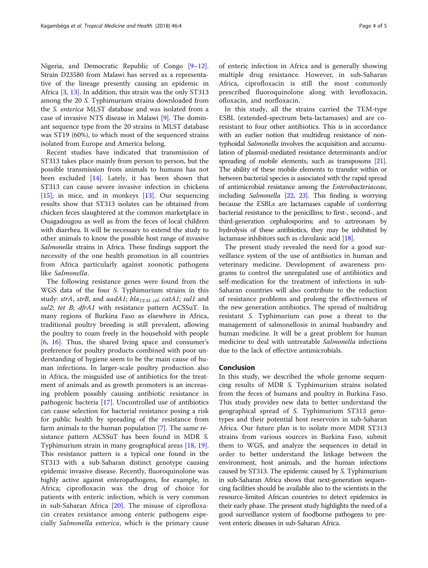Nigeria, and Democratic Republic of Congo [[9](#page-4-0)–[12](#page-4-0)]. Strain D23580 from Malawi has served as a representative of the lineage presently causing an epidemic in Africa [[3,](#page-4-0) [13](#page-4-0)]. In addition, this strain was the only ST313 among the 20 S. Typhimurium strains downloaded from the S. enterica MLST database and was isolated from a case of invasive NTS disease in Malawi [\[9](#page-4-0)]. The dominant sequence type from the 20 strains in MLST database was ST19 (60%), to which most of the sequenced strains isolated from Europe and America belong.

Recent studies have indicated that transmission of ST313 takes place mainly from person to person, but the possible transmission from animals to humans has not been excluded [\[14](#page-4-0)]. Lately, it has been shown that ST313 can cause severe invasive infection in chickens [[15\]](#page-4-0), in mice, and in monkeys [[13](#page-4-0)]. Our sequencing results show that ST313 isolates can be obtained from chicken feces slaughtered at the common marketplace in Ouagadougou as well as from the feces of local children with diarrhea. It will be necessary to extend the study to other animals to know the possible host range of invasive Salmonella strains in Africa. These findings support the necessity of the one health promotion in all countries from Africa particularly against zoonotic pathogens like Salmonella.

The following resistance genes were found from the WGS data of the four S. Typhimurium strains in this study: strA, strB, and aadA1; bla<sub>TEM-1B</sub>; catA1; sul1 and sul2; tet B; dfrA1 with resistance pattern ACSSuT. In many regions of Burkina Faso as elsewhere in Africa, traditional poultry breeding is still prevalent, allowing the poultry to roam freely in the household with people [[6,](#page-4-0) [16\]](#page-4-0). Thus, the shared living space and consumer's preference for poultry products combined with poor understanding of hygiene seem to be the main cause of human infections. In larger-scale poultry production also in Africa, the misguided use of antibiotics for the treatment of animals and as growth promoters is an increasing problem possibly causing antibiotic resistance in pathogenic bacteria [[17](#page-4-0)]. Uncontrolled use of antibiotics can cause selection for bacterial resistance posing a risk for public health by spreading of the resistance from farm animals to the human population [[7](#page-4-0)]. The same resistance pattern ACSSuT has been found in MDR S. Typhimurium strain in many geographical areas [[18](#page-4-0), [19](#page-4-0)]. This resistance pattern is a typical one found in the ST313 with a sub-Saharan distinct genotype causing epidemic invasive disease. Recently, fluoroquinolone was highly active against enteropathogens, for example, in Africa; ciprofloxacin was the drug of choice for patients with enteric infection, which is very common in sub-Saharan Africa [\[20](#page-4-0)]. The misuse of ciprofloxacin creates resistance among enteric pathogens especially Salmonella enterica, which is the primary cause of enteric infection in Africa and is generally showing multiple drug resistance. However, in sub-Saharan Africa, ciprofloxacin is still the most commonly prescribed fluoroquinolone along with levofloxacin, ofloxacin, and norfloxacin.

In this study, all the strains carried the TEM-type ESBL (extended-spectrum beta-lactamases) and are coresistant to four other antibiotics. This is in accordance with an earlier notion that multidrug resistance of nontyphoidal Salmonella involves the acquisition and accumulation of plasmid-mediated resistance determinants and/or spreading of mobile elements, such as transposons [\[21](#page-4-0)]. The ability of these mobile elements to transfer within or between bacterial species is associated with the rapid spread of antimicrobial resistance among the Enterobacteriaceae, including Salmonella [\[22](#page-4-0), [23](#page-4-0)]. This finding is worrying because the ESBLs are lactamases capable of conferring bacterial resistance to the penicillins; to first-, second-, and third-generation cephalosporins; and to aztreonam by hydrolysis of these antibiotics, they may be inhibited by lactamase inhibitors such as clavulanic acid [\[18\]](#page-4-0).

The present study revealed the need for a good surveillance system of the use of antibiotics in human and veterinary medicine. Development of awareness programs to control the unregulated use of antibiotics and self-medication for the treatment of infections in sub-Saharan countries will also contribute to the reduction of resistance problems and prolong the effectiveness of the new generation antibiotics. The spread of multidrug resistant S. Typhimurium can pose a threat to the management of salmonellosis in animal husbandry and human medicine. It will be a great problem for human medicine to deal with untreatable Salmonella infections due to the lack of effective antimicrobials.

## Conclusion

In this study, we described the whole genome sequencing results of MDR S. Typhimurium strains isolated from the feces of humans and poultry in Burkina Faso. This study provides new data to better understand the geographical spread of S. Typhimurium ST313 genotypes and their potential host reservoirs in sub-Saharan Africa. Our future plan is to isolate more MDR ST313 strains from various sources in Burkina Faso, submit them to WGS, and analyze the sequences in detail in order to better understand the linkage between the environment, host animals, and the human infections caused by ST313. The epidemic caused by S. Typhimurium in sub-Saharan Africa shows that next-generation sequencing facilities should be available also to the scientists in the resource-limited African countries to detect epidemics in their early phase. The present study highlights the need of a good surveillance system of foodborne pathogens to prevent enteric diseases in sub-Saharan Africa.